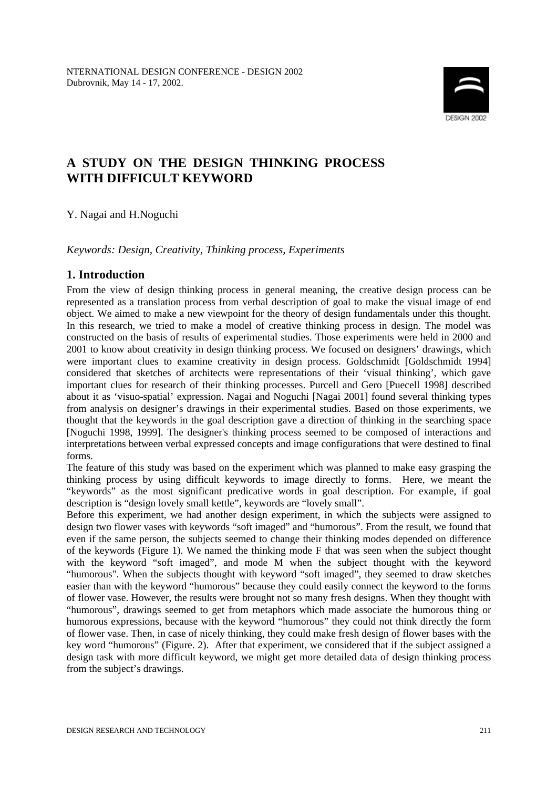

# **A STUDY ON THE DESIGN THINKING PROCESS WITH DIFFICULT KEYWORD**

Y. Nagai and H.Noguchi

*Keywords: Design, Creativity, Thinking process, Experiments* 

# **1. Introduction**

From the view of design thinking process in general meaning, the creative design process can be represented as a translation process from verbal description of goal to make the visual image of end object. We aimed to make a new viewpoint for the theory of design fundamentals under this thought. In this research, we tried to make a model of creative thinking process in design. The model was constructed on the basis of results of experimental studies. Those experiments were held in 2000 and 2001 to know about creativity in design thinking process. We focused on designers' drawings, which were important clues to examine creativity in design process. Goldschmidt [Goldschmidt 1994] considered that sketches of architects were representations of their 'visual thinking', which gave important clues for research of their thinking processes. Purcell and Gero [Puecell 1998] described about it as 'visuo-spatial' expression. Nagai and Noguchi [Nagai 2001] found several thinking types from analysis on designer's drawings in their experimental studies. Based on those experiments, we thought that the keywords in the goal description gave a direction of thinking in the searching space [Noguchi 1998, 1999]. The designer's thinking process seemed to be composed of interactions and interpretations between verbal expressed concepts and image configurations that were destined to final forms.

The feature of this study was based on the experiment which was planned to make easy grasping the thinking process by using difficult keywords to image directly to forms. Here, we meant the "keywords" as the most significant predicative words in goal description. For example, if goal description is "design lovely small kettle", keywords are "lovely small".

Before this experiment, we had another design experiment, in which the subjects were assigned to design two flower vases with keywords "soft imaged" and "humorous". From the result, we found that even if the same person, the subjects seemed to change their thinking modes depended on difference of the keywords (Figure 1). We named the thinking mode F that was seen when the subject thought with the keyword "soft imaged", and mode M when the subject thought with the keyword "humorous". When the subjects thought with keyword "soft imaged", they seemed to draw sketches easier than with the keyword "humorous" because they could easily connect the keyword to the forms of flower vase. However, the results were brought not so many fresh designs. When they thought with "humorous", drawings seemed to get from metaphors which made associate the humorous thing or humorous expressions, because with the keyword "humorous" they could not think directly the form of flower vase. Then, in case of nicely thinking, they could make fresh design of flower bases with the key word "humorous" (Figure. 2). After that experiment, we considered that if the subject assigned a design task with more difficult keyword, we might get more detailed data of design thinking process from the subject's drawings.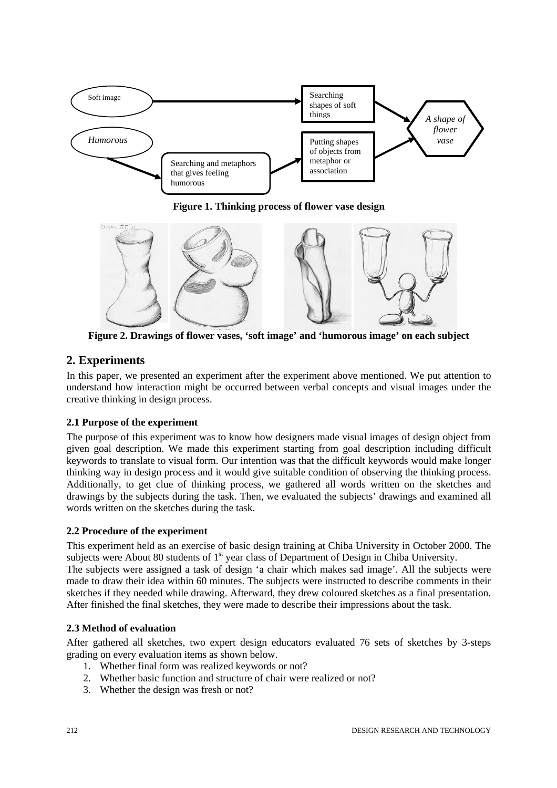

**Figure 1. Thinking process of flower vase design**



**Figure 2. Drawings of flower vases, 'soft image' and 'humorous image' on each subject**

# **2. Experiments**

In this paper, we presented an experiment after the experiment above mentioned. We put attention to understand how interaction might be occurred between verbal concepts and visual images under the creative thinking in design process.

## **2.1 Purpose of the experiment**

The purpose of this experiment was to know how designers made visual images of design object from given goal description. We made this experiment starting from goal description including difficult keywords to translate to visual form. Our intention was that the difficult keywords would make longer thinking way in design process and it would give suitable condition of observing the thinking process. Additionally, to get clue of thinking process, we gathered all words written on the sketches and drawings by the subjects during the task. Then, we evaluated the subjects' drawings and examined all words written on the sketches during the task.

## **2.2 Procedure of the experiment**

This experiment held as an exercise of basic design training at Chiba University in October 2000. The subjects were About 80 students of 1<sup>st</sup> year class of Department of Design in Chiba University. The subjects were assigned a task of design 'a chair which makes sad image'. All the subjects were made to draw their idea within 60 minutes. The subjects were instructed to describe comments in their sketches if they needed while drawing. Afterward, they drew coloured sketches as a final presentation. After finished the final sketches, they were made to describe their impressions about the task.

#### **2.3 Method of evaluation**

After gathered all sketches, two expert design educators evaluated 76 sets of sketches by 3-steps grading on every evaluation items as shown below.

- 1. Whether final form was realized keywords or not?
- 2. Whether basic function and structure of chair were realized or not?
- 3. Whether the design was fresh or not?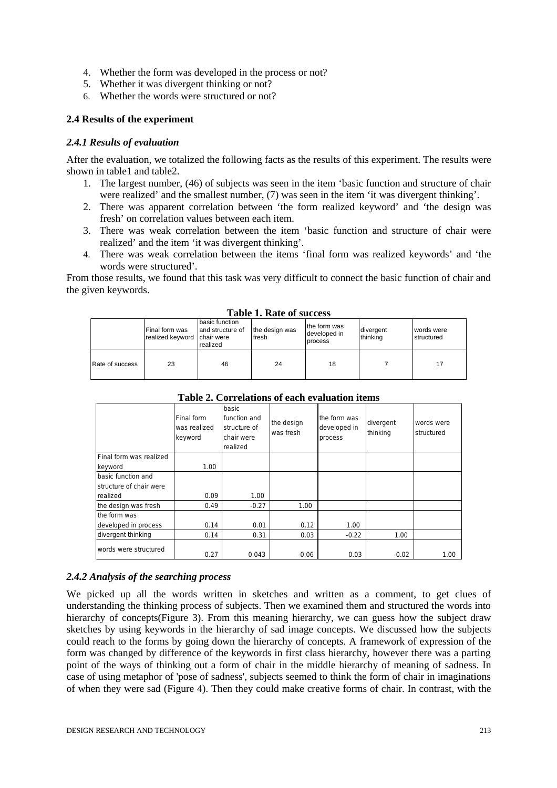- 4. Whether the form was developed in the process or not?
- 5. Whether it was divergent thinking or not?
- 6. Whether the words were structured or not?

### **2.4 Results of the experiment**

#### *2.4.1 Results of evaluation*

After the evaluation, we totalized the following facts as the results of this experiment. The results were shown in table1 and table2.

- 1. The largest number, (46) of subjects was seen in the item 'basic function and structure of chair were realized' and the smallest number, (7) was seen in the item 'it was divergent thinking'.
- 2. There was apparent correlation between 'the form realized keyword' and 'the design was fresh' on correlation values between each item.
- 3. There was weak correlation between the item 'basic function and structure of chair were realized' and the item 'it was divergent thinking'.
- 4. There was weak correlation between the items 'final form was realized keywords' and 'the words were structured'.

From those results, we found that this task was very difficult to connect the basic function of chair and the given keywords.

| Tubic 1. Ruit of success |                                                 |                                                 |                                 |                                         |                        |                             |
|--------------------------|-------------------------------------------------|-------------------------------------------------|---------------------------------|-----------------------------------------|------------------------|-----------------------------|
|                          | Final form was<br>realized keyword   chair were | Ibasic function<br>and structure of<br>realized | the design was<br><b>Ifresh</b> | the form was<br>developed in<br>process | divergent<br>Ithinkina | l words were<br>Istructured |
| Rate of success          | 23                                              | 46                                              | 24                              | 18                                      |                        | 17                          |

**Table 1. Rate of success**

|                         | Final form<br>was realized<br>keyword | basic<br>function and<br>structure of<br>chair were<br>realized | the design<br>was fresh | the form was<br>developed in<br>process | divergent<br>thinking | words were<br>structured |
|-------------------------|---------------------------------------|-----------------------------------------------------------------|-------------------------|-----------------------------------------|-----------------------|--------------------------|
| Final form was realized |                                       |                                                                 |                         |                                         |                       |                          |
| keyword                 | 1.00                                  |                                                                 |                         |                                         |                       |                          |
| basic function and      |                                       |                                                                 |                         |                                         |                       |                          |
| structure of chair were |                                       |                                                                 |                         |                                         |                       |                          |
| Irealized               | 0.09                                  | 1.00                                                            |                         |                                         |                       |                          |
| the design was fresh    | 0.49                                  | $-0.27$                                                         | 1.00                    |                                         |                       |                          |
| the form was            |                                       |                                                                 |                         |                                         |                       |                          |
| developed in process    | 0.14                                  | 0.01                                                            | 0.12                    | 1.00                                    |                       |                          |
| divergent thinking      | 0.14                                  | 0.31                                                            | 0.03                    | $-0.22$                                 | 1.00                  |                          |
| words were structured   | 0.27                                  | 0.043                                                           | $-0.06$                 | 0.03                                    | $-0.02$               | 1.00                     |

**Table 2. Correlations of each evaluation items**

#### *2.4.2 Analysis of the searching process*

We picked up all the words written in sketches and written as a comment, to get clues of understanding the thinking process of subjects. Then we examined them and structured the words into hierarchy of concepts(Figure 3). From this meaning hierarchy, we can guess how the subject draw sketches by using keywords in the hierarchy of sad image concepts. We discussed how the subjects could reach to the forms by going down the hierarchy of concepts. A framework of expression of the form was changed by difference of the keywords in first class hierarchy, however there was a parting point of the ways of thinking out a form of chair in the middle hierarchy of meaning of sadness. In case of using metaphor of 'pose of sadness', subjects seemed to think the form of chair in imaginations of when they were sad (Figure 4). Then they could make creative forms of chair. In contrast, with the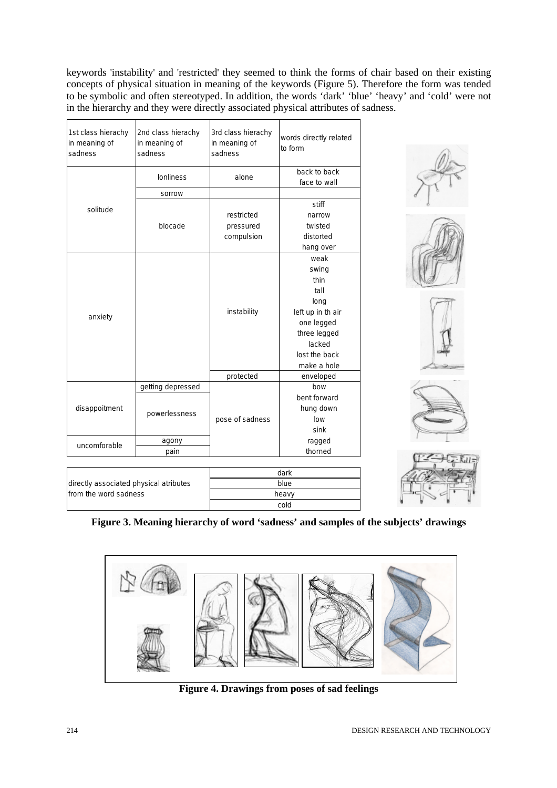keywords 'instability' and 'restricted' they seemed to think the forms of chair based on their existing concepts of physical situation in meaning of the keywords (Figure 5). Therefore the form was tended to be symbolic and often stereotyped. In addition, the words 'dark' 'blue' 'heavy' and 'cold' were not in the hierarchy and they were directly associated physical attributes of sadness.

| 1st class hierachy<br>in meaning of<br>sadness | 2nd class hierachy<br>in meaning of<br>sadness | 3rd class hierachy<br>in meaning of<br>sadness | words directly related<br>to form |  |
|------------------------------------------------|------------------------------------------------|------------------------------------------------|-----------------------------------|--|
|                                                | <b>lonliness</b>                               | alone                                          | back to back<br>face to wall      |  |
|                                                | sorrow                                         |                                                |                                   |  |
|                                                |                                                |                                                | stiff                             |  |
| solitude                                       |                                                | restricted                                     | narrow                            |  |
|                                                | blocade                                        | pressured                                      | twisted                           |  |
|                                                |                                                | compulsion                                     | distorted                         |  |
|                                                |                                                |                                                |                                   |  |
|                                                |                                                |                                                | hang over<br>weak                 |  |
|                                                |                                                |                                                |                                   |  |
|                                                |                                                |                                                | swing                             |  |
|                                                |                                                |                                                | thin                              |  |
|                                                |                                                |                                                | tall                              |  |
|                                                |                                                |                                                | long                              |  |
| anxiety                                        |                                                | instability                                    | left up in th air                 |  |
|                                                |                                                |                                                | one legged                        |  |
|                                                |                                                |                                                | three legged                      |  |
|                                                |                                                |                                                | lacked                            |  |
|                                                |                                                |                                                | lost the back                     |  |
|                                                |                                                |                                                | make a hole                       |  |
|                                                |                                                | protected                                      | enveloped                         |  |
|                                                | getting depressed                              |                                                | bow                               |  |
|                                                |                                                |                                                | bent forward                      |  |
| disappoitment                                  |                                                |                                                | hung down                         |  |
|                                                | powerlessness                                  | pose of sadness                                | low                               |  |
|                                                |                                                |                                                | sink                              |  |
|                                                | agony                                          |                                                | ragged                            |  |
| uncomforable                                   | pain                                           |                                                | thorned                           |  |
|                                                |                                                |                                                |                                   |  |









#### directly associated physical atributes from the word sadness dark blue heavy cold

# **Figure 3. Meaning hierarchy of word 'sadness' and samples of the subjects' drawings**



**Figure 4. Drawings from poses of sad feelings**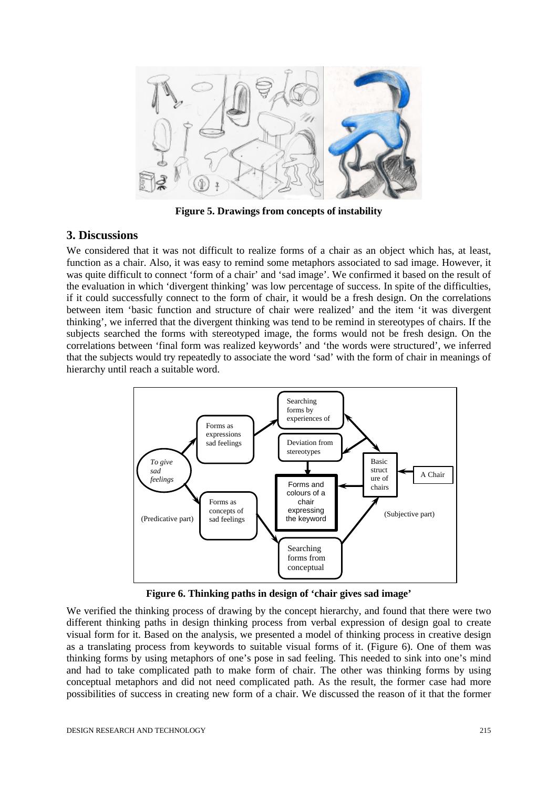

**Figure 5. Drawings from concepts of instability**

### **3. Discussions**

We considered that it was not difficult to realize forms of a chair as an object which has, at least, function as a chair. Also, it was easy to remind some metaphors associated to sad image. However, it was quite difficult to connect 'form of a chair' and 'sad image'. We confirmed it based on the result of the evaluation in which 'divergent thinking' was low percentage of success. In spite of the difficulties, if it could successfully connect to the form of chair, it would be a fresh design. On the correlations between item 'basic function and structure of chair were realized' and the item 'it was divergent thinking', we inferred that the divergent thinking was tend to be remind in stereotypes of chairs. If the subjects searched the forms with stereotyped image, the forms would not be fresh design. On the correlations between 'final form was realized keywords' and 'the words were structured', we inferred that the subjects would try repeatedly to associate the word 'sad' with the form of chair in meanings of hierarchy until reach a suitable word.



**Figure 6. Thinking paths in design of 'chair gives sad image'**

We verified the thinking process of drawing by the concept hierarchy, and found that there were two different thinking paths in design thinking process from verbal expression of design goal to create visual form for it. Based on the analysis, we presented a model of thinking process in creative design as a translating process from keywords to suitable visual forms of it. (Figure 6). One of them was thinking forms by using metaphors of one's pose in sad feeling. This needed to sink into one's mind and had to take complicated path to make form of chair. The other was thinking forms by using conceptual metaphors and did not need complicated path. As the result, the former case had more possibilities of success in creating new form of a chair. We discussed the reason of it that the former